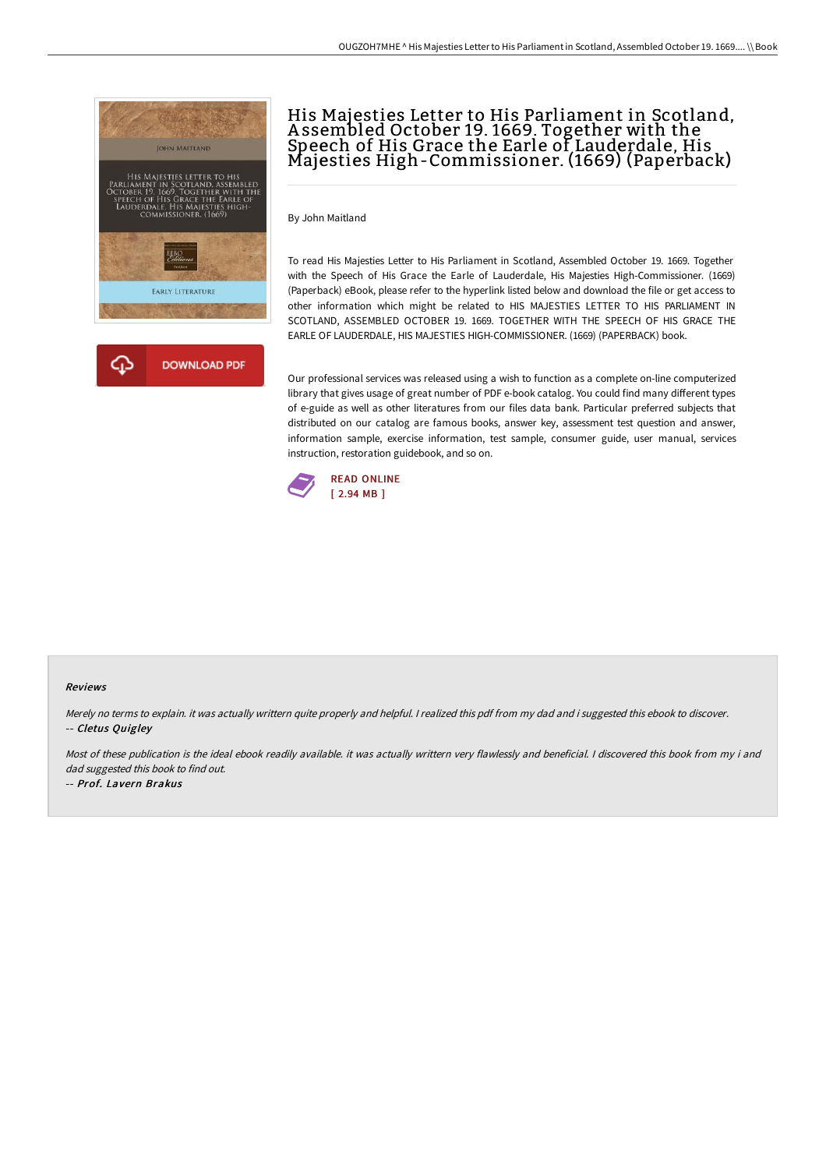



# His Majesties Letter to His Parliament in Scotland, A ssembled October 19. 1669. Together with the Speech of His Grace the Earle of Lauderdale, His Majesties High-Commissioner. (1669) (Paperback)

By John Maitland

To read His Majesties Letter to His Parliament in Scotland, Assembled October 19. 1669. Together with the Speech of His Grace the Earle of Lauderdale, His Majesties High-Commissioner. (1669) (Paperback) eBook, please refer to the hyperlink listed below and download the file or get access to other information which might be related to HIS MAJESTIES LETTER TO HIS PARLIAMENT IN SCOTLAND, ASSEMBLED OCTOBER 19. 1669. TOGETHER WITH THE SPEECH OF HIS GRACE THE EARLE OF LAUDERDALE, HIS MAJESTIES HIGH-COMMISSIONER. (1669) (PAPERBACK) book.

Our professional services was released using a wish to function as a complete on-line computerized library that gives usage of great number of PDF e-book catalog. You could find many different types of e-guide as well as other literatures from our files data bank. Particular preferred subjects that distributed on our catalog are famous books, answer key, assessment test question and answer, information sample, exercise information, test sample, consumer guide, user manual, services instruction, restoration guidebook, and so on.



#### Reviews

Merely no terms to explain. it was actually writtern quite properly and helpful. <sup>I</sup> realized this pdf from my dad and i suggested this ebook to discover. -- Cletus Quigley

Most of these publication is the ideal ebook readily available. it was actually writtern very flawlessly and beneficial. I discovered this book from my i and dad suggested this book to find out.

-- Prof. Lavern Brakus